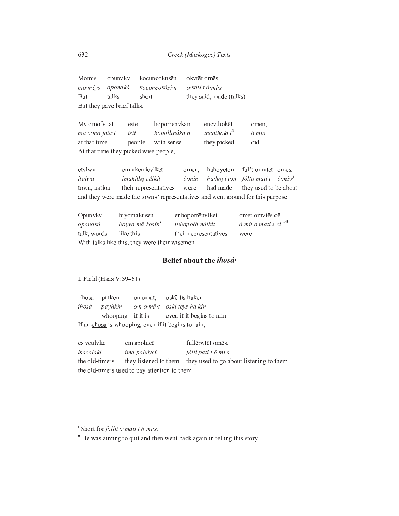|                            |       | Momis opunyky kocuncokusēn okvtētomēs.      |                         |  |  |  |  |
|----------------------------|-------|---------------------------------------------|-------------------------|--|--|--|--|
|                            |       | mo mêys oponaká koconcokósi n o katí tômi s |                         |  |  |  |  |
| But                        | talks | short                                       | they said, made (talks) |  |  |  |  |
| But they gave brief talks. |       |                                             |                         |  |  |  |  |

| My omofy tat                          | este   | hoporrenykan  | encythoket      | omen.         |  |  |  |
|---------------------------------------|--------|---------------|-----------------|---------------|--|--|--|
| ma ô mo fata t                        | ísti   | hopollináka n | incathokí $t^3$ | $\hat{o}$ min |  |  |  |
| at that time                          | people | with sense    | they picked     | did           |  |  |  |
| At that time they picked wise people, |        |               |                 |               |  |  |  |

etvlwv em vkerricvlket hahoyēton ful't omvtēt omēs. omen, itálwa imakiłłeycâlkit  $\hat{o}$   $min$ ha hoyí ton fólto matí t  $\hat{o}$  mi s<sup>i</sup> town, nation their representatives were had made they used to be about and they were made the towns' representatives and went around for this purpose.

| Opunyky                                        | hiyomakusen                 | enhoporrēnvlket       | omet omvtēs cē.                                 |  |  |  |
|------------------------------------------------|-----------------------------|-----------------------|-------------------------------------------------|--|--|--|
| oponaká                                        | hayyo mâ kosin <sup>4</sup> | inhopolli nâlkit      | $\hat{o}$ mit o matí s ci $\wedge$ <sup>n</sup> |  |  |  |
| talk, words                                    | like this                   | their representatives | were                                            |  |  |  |
| With talks like this, they were their wisemen. |                             |                       |                                                 |  |  |  |

## Belief about the *ihosá*.

I. Field (Haas V:59-61)

Ehosa pihken oskē tis haken on omat, ihosá<sup>.</sup> payhkin ó n o mâ t oskí teys ha kín whooping if it is even if it begins to rain If an ehosa is whooping, even if it begins to rain,

es veulvke em apohicē fullēpvtēt omēs. isacolakí ima pohévci fólli patí tô mi s the old-timers they listened to them they used to go about listening to them. the old-timers used to pay attention to them.

 $\frac{1}{2}$  Short for *follit o mati t ô mi s*.

<sup>&</sup>lt;sup>ii</sup> He was aiming to quit and then went back again in telling this story.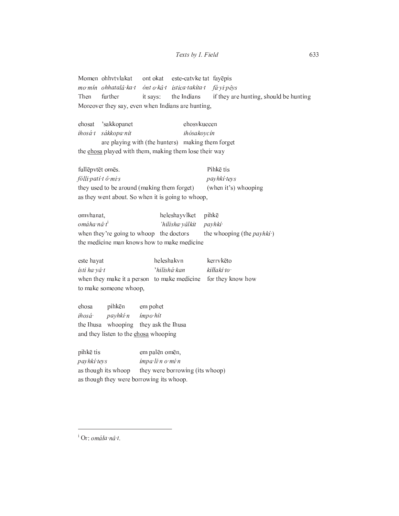Momen ohhvtvlakat este-catvke tat fayēpis ont okat mo mín ohhatalâ ka t ónt o kâ t istica takita t fá yi pêys Then further it says: the Indians if they are hunting, should be hunting Moreover they say, even when Indians are hunting,

ehosat 'sakkopanet ehosykuecen ihosá tés sákkopa nít ihósakoycín are playing with (the hunters) making them forget the chosa played with them, making them lose their way

Pihkē tis fullēpvtēt omēs. fólli patí tô mi s payhki teys they used to be around (making them forget) (when it's) whooping as they went about. So when it is going to whoop,

omvhanat, heleshayvlket pihkē omáha nâ t<sup>i</sup> 'hilisha yâlkit payhki when they're going to whoop the doctors the whooping (the *payhki*·) the medicine man knows how to make medicine

este hayat heleshakvn kerrvkēto 'hilishá kan ísti ha yâ t kiłłakí to when they make it a person to make medicine for they know how to make someone whoop,

ehosa pihkēn em pohet ihosá<sup>.</sup> payhki n ímpo hít the Ihusa whooping they ask the Ihusa and they listen to the chosa whooping

pihkē tis em palēn omēn, payhkí teys impa li n o mi n as though its whoop they were borrowing (its whoop) as though they were borrowing its whoop.

<sup>i</sup> Or: omála nâ t.